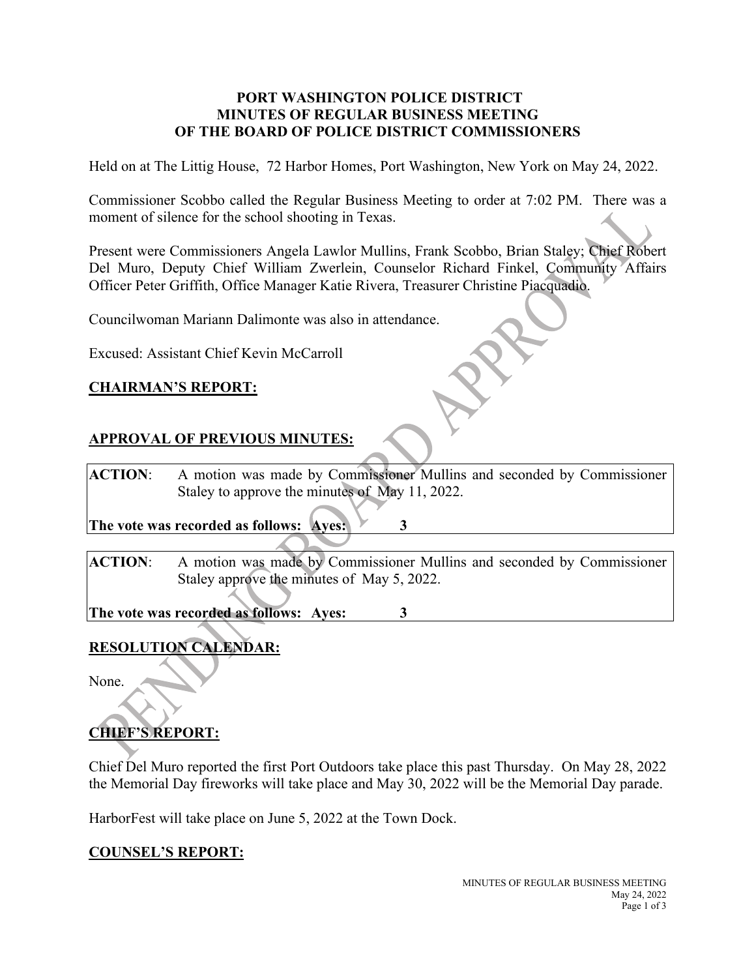#### **PORT WASHINGTON POLICE DISTRICT MINUTES OF REGULAR BUSINESS MEETING OF THE BOARD OF POLICE DISTRICT COMMISSIONERS**

Held on at The Littig House, 72 Harbor Homes, Port Washington, New York on May 24, 2022.

Commissioner Scobbo called the Regular Business Meeting to order at 7:02 PM. There was a moment of silence for the school shooting in Texas.

Present were Commissioners Angela Lawlor Mullins, Frank Scobbo, Brian Staley; Chief Robert Del Muro, Deputy Chief William Zwerlein, Counselor Richard Finkel, Community Affairs Officer Peter Griffith, Office Manager Katie Rivera, Treasurer Christine Piacquadio.

Councilwoman Mariann Dalimonte was also in attendance.

Excused: Assistant Chief Kevin McCarroll

#### **CHAIRMAN'S REPORT:**

## **APPROVAL OF PREVIOUS MINUTES:**

**ACTION**: A motion was made by Commissioner Mullins and seconded by Commissioner Staley to approve the minutes of May 11, 2022.

**The vote was recorded as follows: Ayes: 3**

**ACTION**: A motion was made by Commissioner Mullins and seconded by Commissioner Staley approve the minutes of May 5, 2022.

**The vote was recorded as follows: Ayes: 3**

# **RESOLUTION CALENDAR:**

None.

# **CHIEF'S REPORT:**

Chief Del Muro reported the first Port Outdoors take place this past Thursday. On May 28, 2022 the Memorial Day fireworks will take place and May 30, 2022 will be the Memorial Day parade.

HarborFest will take place on June 5, 2022 at the Town Dock.

## **COUNSEL'S REPORT:**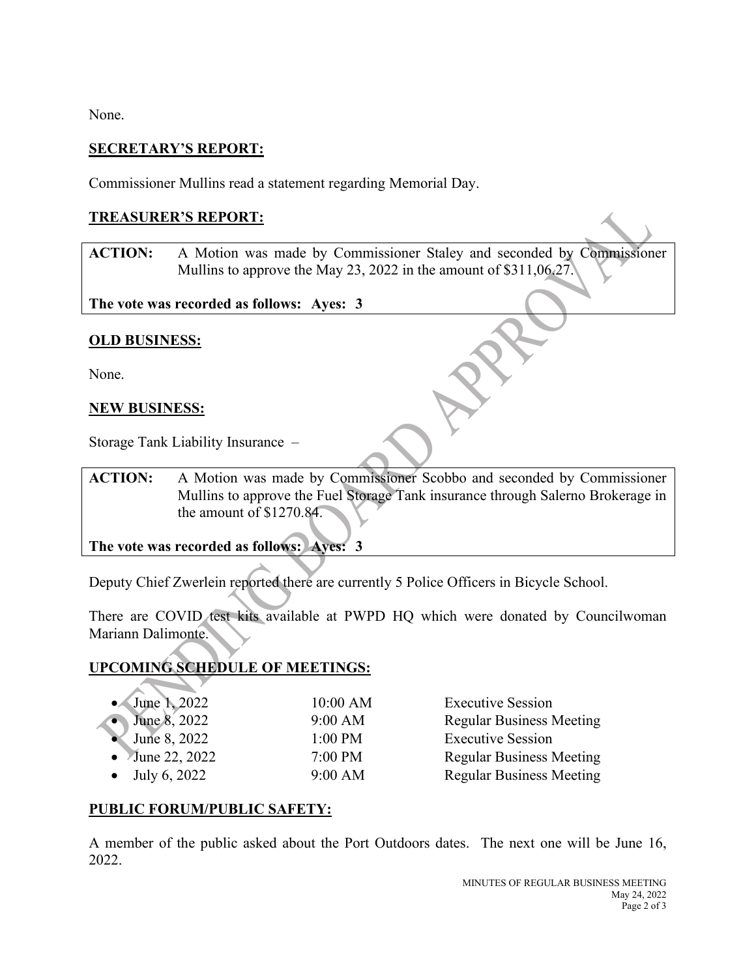None.

## **SECRETARY'S REPORT:**

Commissioner Mullins read a statement regarding Memorial Day.

## **TREASURER'S REPORT:**

**ACTION:** A Motion was made by Commissioner Staley and seconded by Commissioner Mullins to approve the May 23, 2022 in the amount of \$311,06.27.

**The vote was recorded as follows: Ayes: 3**

## **OLD BUSINESS:**

None.

## **NEW BUSINESS:**

Storage Tank Liability Insurance –

**ACTION:** A Motion was made by Commissioner Scobbo and seconded by Commissioner Mullins to approve the Fuel Storage Tank insurance through Salerno Brokerage in the amount of \$1270.84.

**The vote was recorded as follows: Ayes: 3**

Deputy Chief Zwerlein reported there are currently 5 Police Officers in Bicycle School.

There are COVID test kits available at PWPD HQ which were donated by Councilwoman Mariann Dalimonte.

## **UPCOMING SCHEDULE OF MEETINGS:**

| 10:00 AM  | <b>Executive Session</b>        |
|-----------|---------------------------------|
| $9:00$ AM | <b>Regular Business Meeting</b> |
| $1:00$ PM | <b>Executive Session</b>        |
| $7:00$ PM | <b>Regular Business Meeting</b> |
| 9:00 AM   | <b>Regular Business Meeting</b> |
|           |                                 |

## **PUBLIC FORUM/PUBLIC SAFETY:**

A member of the public asked about the Port Outdoors dates. The next one will be June 16, 2022.